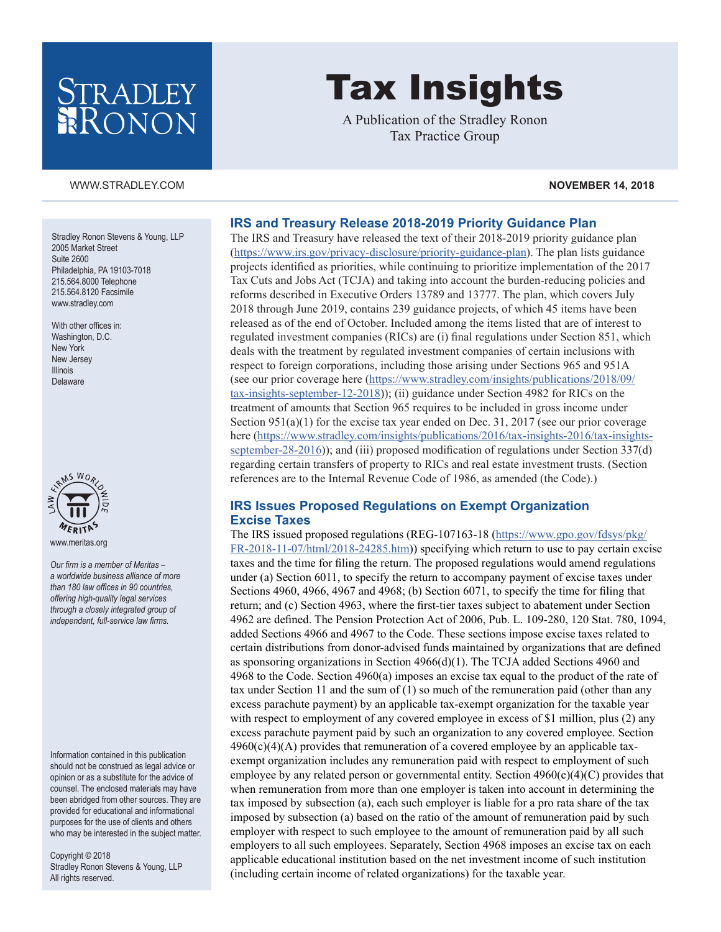# STRADLEY RONON

[WWW.STRADLEY.COM](www.stradley.com) **NOVEMBER 14, 2018**

#### Stradley Ronon Stevens & Young, LLP 2005 Market Street Suite 2600 Philadelphia, PA 19103-7018 215.564.8000 Telephone 215.564.8120 Facsimile [www.stradley.com](http://www.stradley.com)

With other offices in: Washington, D.C. New York New Jersey Illinois Delaware



*Our firm is a member of Meritas – a worldwide business alliance of more than 180 law offices in 90 countries, offering high-quality legal services through a closely integrated group of independent, full-service law firms.*

Information contained in this publication should not be construed as legal advice or opinion or as a substitute for the advice of counsel. The enclosed materials may have been abridged from other sources. They are provided for educational and informational purposes for the use of clients and others who may be interested in the subject matter.

Copyright © 2018 Stradley Ronon Stevens & Young, LLP All rights reserved.

#### **IRS and Treasury Release 2018-2019 Priority Guidance Plan**

The IRS and Treasury have released the text of their 2018-2019 priority guidance plan [\(https://www.irs.gov/privacy-disclosure/priority-guidance-plan](https://www.irs.gov/privacy-disclosure/priority-guidance-plan)). The plan lists guidance projects identified as priorities, while continuing to prioritize implementation of the 2017 Tax Cuts and Jobs Act (TCJA) and taking into account the burden-reducing policies and reforms described in Executive Orders 13789 and 13777. The plan, which covers July 2018 through June 2019, contains 239 guidance projects, of which 45 items have been released as of the end of October. Included among the items listed that are of interest to regulated investment companies (RICs) are (i) final regulations under Section 851, which deals with the treatment by regulated investment companies of certain inclusions with respect to foreign corporations, including those arising under Sections 965 and 951A (see our prior coverage here ([https://www.stradley.com/insights/publications/2018/09/](https://www.stradley.com/insights/publications/2018/09/tax-insights-september-12-2018) [tax-insights-september-12-2018](https://www.stradley.com/insights/publications/2018/09/tax-insights-september-12-2018))); (ii) guidance under Section 4982 for RICs on the treatment of amounts that Section 965 requires to be included in gross income under Section  $951(a)(1)$  for the excise tax year ended on Dec. 31, 2017 (see our prior coverage here ([https://www.stradley.com/insights/publications/2016/tax-insights-2016/tax-insights](https://www.stradley.com/insights/publications/2016/tax-insights-2016/tax-insights-september-28-2016)[september-28-2016](https://www.stradley.com/insights/publications/2016/tax-insights-2016/tax-insights-september-28-2016))); and (iii) proposed modification of regulations under Section 337(d) regarding certain transfers of property to RICs and real estate investment trusts. (Section references are to the Internal Revenue Code of 1986, as amended (the Code).)

Tax Insights

A Publication of the Stradley Ronon Tax Practice Group

#### **IRS Issues Proposed Regulations on Exempt Organization Excise Taxes**

The IRS issued proposed regulations (REG-107163-18 ([https://www.gpo.gov/fdsys/pkg/](https://www.gpo.gov/fdsys/pkg/FR-2018-11-07/html/2018-24285.htm) [FR-2018-11-07/html/2018-24285.htm](https://www.gpo.gov/fdsys/pkg/FR-2018-11-07/html/2018-24285.htm))) specifying which return to use to pay certain excise taxes and the time for filing the return. The proposed regulations would amend regulations under (a) Section 6011, to specify the return to accompany payment of excise taxes under Sections 4960, 4966, 4967 and 4968; (b) Section 6071, to specify the time for filing that return; and (c) Section 4963, where the first-tier taxes subject to abatement under Section 4962 are defined. The Pension Protection Act of 2006, Pub. L. 109-280, 120 Stat. 780, 1094, added Sections 4966 and 4967 to the Code. These sections impose excise taxes related to certain distributions from donor-advised funds maintained by organizations that are defined as sponsoring organizations in Section  $4966(d)(1)$ . The TCJA added Sections 4960 and 4968 to the Code. Section 4960(a) imposes an excise tax equal to the product of the rate of tax under Section 11 and the sum of (1) so much of the remuneration paid (other than any excess parachute payment) by an applicable tax-exempt organization for the taxable year with respect to employment of any covered employee in excess of \$1 million, plus (2) any excess parachute payment paid by such an organization to any covered employee. Section  $4960(c)(4)(A)$  provides that remuneration of a covered employee by an applicable taxexempt organization includes any remuneration paid with respect to employment of such employee by any related person or governmental entity. Section  $4960(c)(4)(C)$  provides that when remuneration from more than one employer is taken into account in determining the tax imposed by subsection (a), each such employer is liable for a pro rata share of the tax imposed by subsection (a) based on the ratio of the amount of remuneration paid by such employer with respect to such employee to the amount of remuneration paid by all such employers to all such employees. Separately, Section 4968 imposes an excise tax on each applicable educational institution based on the net investment income of such institution (including certain income of related organizations) for the taxable year.